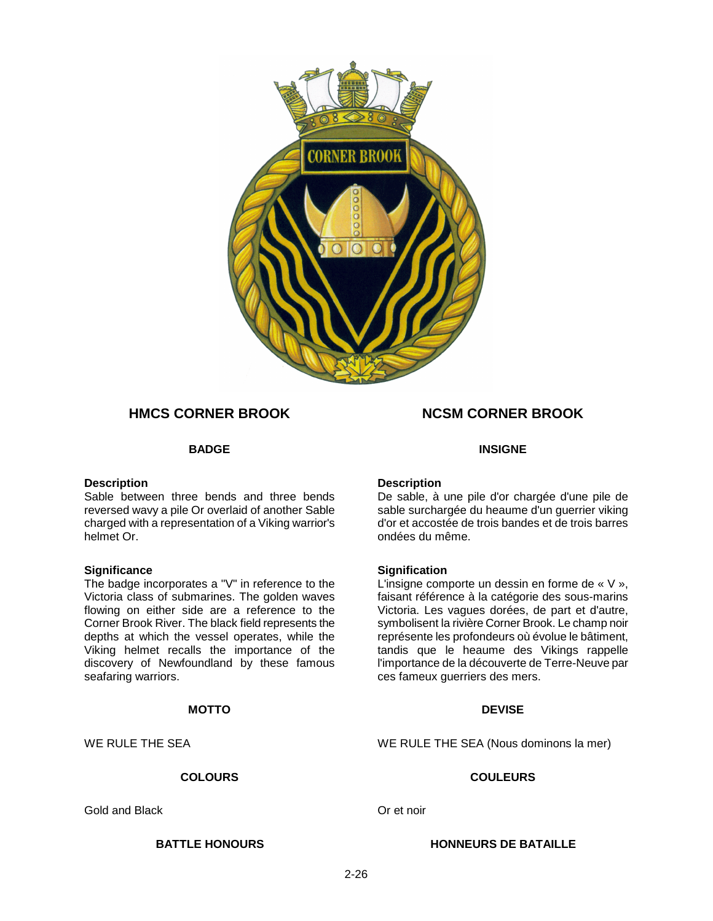

## **HMCS CORNER BROOK NCSM CORNER BROOK**

#### **Description**

Sable between three bends and three bends reversed wavy a pile Or overlaid of another Sable charged with a representation of a Viking warrior's helmet Or.

### **Significance**

The badge incorporates a "V" in reference to the Victoria class of submarines. The golden waves flowing on either side are a reference to the Corner Brook River. The black field represents the depths at which the vessel operates, while the Viking helmet recalls the importance of the discovery of Newfoundland by these famous seafaring warriors.

### **MOTTO** DEVISE

Gold and Black Controller Controller Controller Controller Controller Controller Controller Controller Controller

#### **BADGE INSIGNE**

### **Description**

De sable, à une pile d'or chargée d'une pile de sable surchargée du heaume d'un guerrier viking d'or et accostée de trois bandes et de trois barres ondées du même.

### **Signification**

L'insigne comporte un dessin en forme de « V », faisant référence à la catégorie des sous-marins Victoria. Les vagues dorées, de part et d'autre, symbolisent la rivière Corner Brook. Le champ noir représente les profondeurs où évolue le bâtiment, tandis que le heaume des Vikings rappelle l'importance de la découverte de Terre-Neuve par ces fameux guerriers des mers.

WE RULE THE SEA **WE RULE THE SEA** (Nous dominons la mer)

### **COLOURS COULEURS**

**BATTLE HONOURS HONNEURS DE BATAILLE**